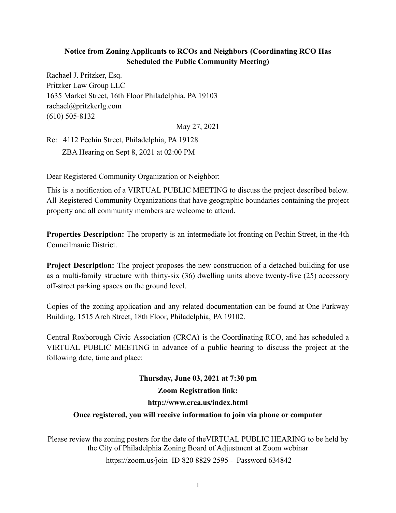## **Notice from Zoning Applicants to RCOs and Neighbors (Coordinating RCO Has Scheduled the Public Community Meeting)**

Rachael J. Pritzker, Esq. Pritzker Law Group LLC 1635 Market Street, 16th Floor Philadelphia, PA 19103 rachael@pritzkerlg.com (610) 505-8132

May 27, 2021

Re: 4112 Pechin Street, Philadelphia, PA 19128 ZBA Hearing on Sept 8, 2021 at 02:00 PM

Dear Registered Community Organization or Neighbor:

This is a notification of a VIRTUAL PUBLIC MEETING to discuss the project described below. All Registered Community Organizations that have geographic boundaries containing the project property and all community members are welcome to attend.

**Properties Description:** The property is an intermediate lot fronting on Pechin Street, in the 4th Councilmanic District.

**Project Description:** The project proposes the new construction of a detached building for use as a multi-family structure with thirty-six (36) dwelling units above twenty-five (25) accessory off-street parking spaces on the ground level.

Copies of the zoning application and any related documentation can be found at One Parkway Building, 1515 Arch Street, 18th Floor, Philadelphia, PA 19102.

Central Roxborough Civic Association (CRCA) is the Coordinating RCO, and has scheduled a VIRTUAL PUBLIC MEETING in advance of a public hearing to discuss the project at the following date, time and place:

## **Thursday, June 03, 2021 at 7:30 pm Zoom Registration link: http://www.crca.us/index.html**

## **Once registered, you will receive information to join via phone or computer**

Please review the zoning posters for the date of theVIRTUAL PUBLIC HEARING to be held by the City of Philadelphia Zoning Board of Adjustment at Zoom webinar <https://zoom.us/join> ID 820 8829 2595 - Password 634842